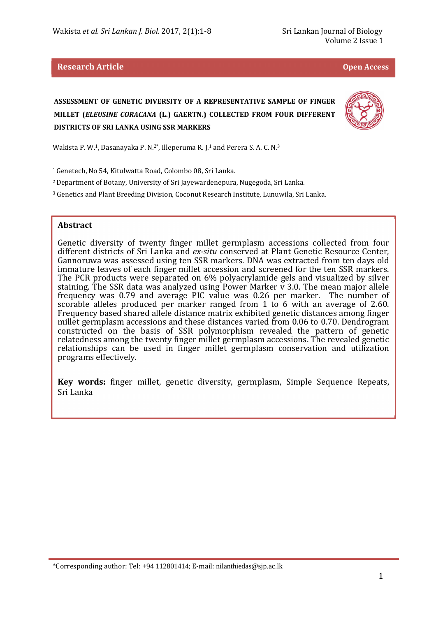#### **Research Article Open Access**

# **ASSESSMENT OF GENETIC DIVERSITY OF A REPRESENTATIVE SAMPLE OF FINGER MILLET (***ELEUSINE CORACANA* **(L.) GAERTN.) COLLECTED FROM FOUR DIFFERENT DISTRICTS OF SRI LANKA USING SSR MARKERS**



Wakista P. W.1, Dasanayaka P. N.2\*, Illeperuma R. J.1 and Perera S. A. C. N.<sup>3</sup>

<sup>1</sup>Genetech, No 54, Kitulwatta Road, Colombo 08, Sri Lanka.

<sup>2</sup>Department of Botany, University of Sri Jayewardenepura, Nugegoda, Sri Lanka.

<sup>3</sup> Genetics and Plant Breeding Division, Coconut Research Institute, Lunuwila, Sri Lanka.

#### **Abstract**

l

Genetic diversity of twenty finger millet germplasm accessions collected from four different districts of Sri Lanka and *ex-situ* conserved at Plant Genetic Resource Center, Gannoruwa was assessed using ten SSR markers. DNA was extracted from ten days old immature leaves of each finger millet accession and screened for the ten SSR markers. The PCR products were separated on 6% polyacrylamide gels and visualized by silver staining. The SSR data was analyzed using Power Marker v 3.0. The mean major allele frequency was 0.79 and average PIC value was 0.26 per marker. The number of scorable alleles produced per marker ranged from 1 to 6 with an average of 2.60. Frequency based shared allele distance matrix exhibited genetic distances among finger millet germplasm accessions and these distances varied from 0.06 to 0.70. Dendrogram constructed on the basis of SSR polymorphism revealed the pattern of genetic relatedness among the twenty finger millet germplasm accessions. The revealed genetic relationships can be used in finger millet germplasm conservation and utilization programs effectively.

**Key words:** finger millet, genetic diversity, germplasm, Simple Sequence Repeats, Sri Lanka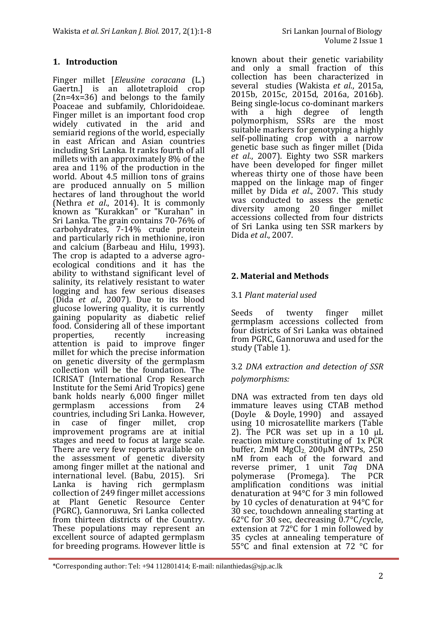## **1. Introduction**

l Finger millet [*Eleusine coracana* (L.) Gaertn.] is an allotetraploid crop  $(2n=4x=36)$  and belongs to the family Poaceae and subfamily, Chloridoideae. Finger millet is an important food crop widely cutivated in the arid and semiarid regions of the world, especially in east African and Asian countries including Sri Lanka. It ranks fourth of all millets with an approximately 8% of the area and 11% of the production in the world. About 4.5 million tons of grains are produced annually on 5 million hectares of land throughout the world (Nethra *et al*., 2014). It is commonly known as "Kurakkan" or "Kurahan" in Sri Lanka. The grain contains 70-76% of carbohydrates, 7-14% crude protein and particularly rich in methionine, iron and calcium (Barbeau and Hilu, 1993). The crop is adapted to a adverse agroecological conditions and it has the ability to withstand significant level of salinity, its relatively resistant to water logging and has few serious diseases (Dida *et al*., 2007). Due to its blood glucose lowering quality, it is currently gaining popularity as diabetic relief food. Considering all of these important properties, recently increasing attention is paid to improve finger millet for which the precise information on genetic diversity of the germplasm collection will be the foundation. The ICRISAT (International Crop Research Institute for the Semi Arid Tropics) gene bank holds nearly 6,000 finger millet<br>germplasm accessions from 24 germplasm accessions from 24 countries, including Sri Lanka. However, in case of finger millet, crop improvement programs are at initial stages and need to focus at large scale. There are very few reports available on the assessment of genetic diversity among finger millet at the national and international level. (Babu, 2015). Sri Lanka is having rich germplasm collection of 249 finger millet accessions at Plant Genetic Resource Center (PGRC), Gannoruwa, Sri Lanka collected from thirteen districts of the Country. These populations may represent an excellent source of adapted germplasm for breeding programs. However little is

known about their genetic variability and only a small fraction of this collection has been characterized in several studies (Wakista *et al*., 2015a, 2015b, 2015c, 2015d, 2016a, 2016b). Being single-locus co-dominant markers<br>with a high degree of length a high degree polymorphism, SSRs are the most suitable markers for genotyping a highly self-pollinating crop with a narrow genetic base such as finger millet (Dida *et al*., 2007). Eighty two SSR markers have been developed for finger millet whereas thirty one of those have been mapped on the linkage map of finger millet by Dida *et al*., 2007. This study was conducted to assess the genetic diversity among 20 finger millet accessions collected from four districts of Sri Lanka using ten SSR markers by Dida *et al*., 2007.

## **2. Material and Methods**

## 3.1 *Plant material used*

Seeds of twenty finger millet germplasm accessions collected from four districts of Sri Lanka was obtained from PGRC, Gannoruwa and used for the study (Table 1).

## 3.2 *DNA extraction and detection of SSR polymorphisms:*

DNA was extracted from ten days old immature leaves using CTAB method (Doyle & Doyle, 1990) and assayed using 10 microsatellite markers (Table 2). The PCR was set up in a  $10 \mu L$ reaction mixture constituting of 1x PCR buffer,  $2mM$  MgCl<sub>2</sub>,  $200\mu$ M dNTPs,  $250$ nM from each of the forward and reverse primer, 1 unit *Taq* DNA polymerase (Promega). amplification conditions was initial denaturation at 94°C for 3 min followed by 10 cycles of denaturation at 94°C for 30 sec, touchdown annealing starting at 62°C for 30 sec, decreasing 0.7°C/cycle, extension at 72°C for 1 min followed by 35 cycles at annealing temperature of 55°C and final extension at 72 °C for

<sup>\*</sup>Corresponding author: Tel: +94 112801414; E-mail: nilanthiedas@sjp.ac.lk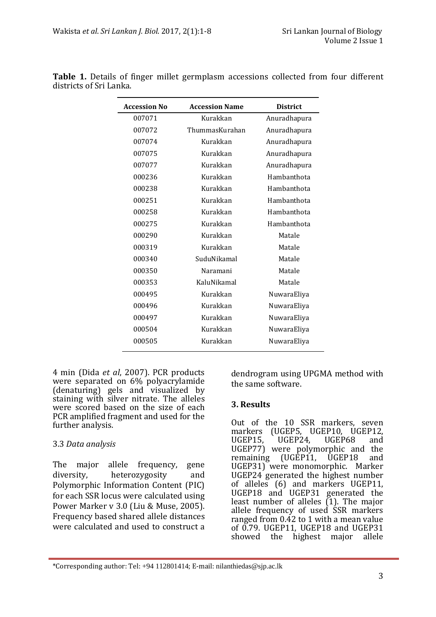| <b>Accession No</b> | <b>Accession Name</b>   | <b>District</b> |
|---------------------|-------------------------|-----------------|
| 007071              | Kurakkan                | Anuradhapura    |
| 007072              | ThummasKurahan          | Anuradhapura    |
| 007074              | Kurakkan                | Anuradhapura    |
| 007075              | Kurakkan                | Anuradhapura    |
| 007077              | Kurakkan                | Anuradhapura    |
| 000236              | Kurakkan                | Hambanthota     |
| 000238              | Kurakkan                | Hambanthota     |
| 000251              | Kurakkan                | Hambanthota     |
| 000258              | Kurakkan                | Hambanthota     |
| 000275              | Kurakkan                | Hambanthota     |
| 000290              | Kurakkan                | Matale          |
| 000319              | Kurakkan                | Matale          |
| 000340              | SuduNikamal             | Matale          |
| 000350              | Naramani                | Matale          |
| 000353              | KaluNikamal             | Matale          |
| 000495              | Kurakkan                | NuwaraEliya     |
| 000496              | Kurakkan                | NuwaraEliya     |
| 000497              | Kurakkan                | NuwaraEliya     |
| 000504              | Kurakkan                | NuwaraEliya     |
| 000505              | Kurakkan<br>NuwaraEliya |                 |
|                     |                         |                 |

**Table 1.** Details of finger millet germplasm accessions collected from four different districts of Sri Lanka.

4 min (Dida *et al*, 2007). PCR products were separated on 6% polyacrylamide (denaturing) gels and visualized by staining with silver nitrate. The alleles were scored based on the size of each PCR amplified fragment and used for the further analysis.

## 3.3 *Data analysis*

l

The major allele frequency, gene diversity, heterozygosity and Polymorphic Information Content (PIC) for each SSR locus were calculated using Power Marker v 3.0 (Liu & Muse, 2005). Frequency based shared allele distances were calculated and used to construct a dendrogram using UPGMA method with the same software.

## **3. Results**

Out of the 10 SSR markers, seven markers (UGEP5, UGEP10, UGEP12,<br>UGEP15, UGEP24, UGEP68 and  $UGEP24$ ,  $UGEPS68$  and UGEP77) were polymorphic and the remaining (UGEP11, UGEP18 and UGEP31) were monomorphic. Marker UGEP24 generated the highest number of alleles (6) and markers UGEP11, UGEP18 and UGEP31 generated the least number of alleles (1). The major allele frequency of used SSR markers ranged from  $0.\overline{4}2$  to 1 with a mean value of 0.79. UGEP11, UGEP18 and UGEP31 showed the highest major allele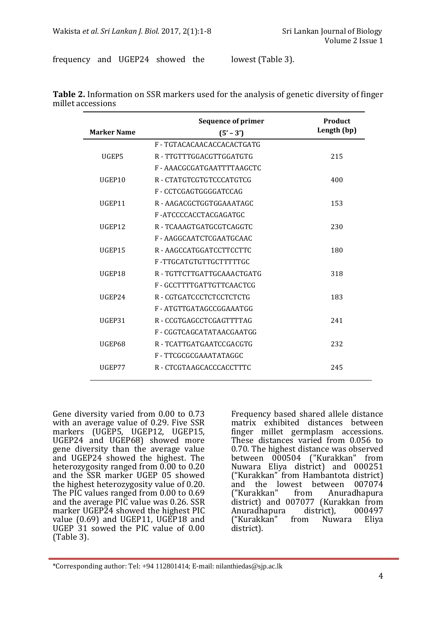frequency and UGEP24 showed the lowest (Table 3).

|                    | <b>Sequence of primer</b>  | Product     |
|--------------------|----------------------------|-------------|
| <b>Marker Name</b> | $(5' - 3')$                | Length (bp) |
|                    | F - TGTACACAACACCACACTGATG |             |
| UGEP5              | R - TTGTTTGGACGTTGGATGTG   | 215         |
|                    | F-AAACGCGATGAATTTTAAGCTC   |             |
| UGEP10             | R - CTATGTCGTGTCCCATGTCG   | 400         |
|                    | F-CCTCGAGTGGGGATCCAG       |             |
| UGEP11             | R - AAGACGCTGGTGGAAATAGC   | 153         |
|                    | F-ATCCCCACCTACGAGATGC      |             |
| UGEP12             | R - TCAAAGTGATGCGTCAGGTC   | 230         |
|                    | F-AAGGCAATCTCGAATGCAAC     |             |
| UGEP15             | R - AAGCCATGGATCCTTCCTTC   | 180         |
|                    | F-TTGCATGTGTTGCTTTTTGC     |             |
| UGEP18             | R - TGTTCTTGATTGCAAACTGATG | 318         |
|                    | F-GCCTTTTGATTGTTCAACTCG    |             |
| UGEP24             | R - CGTGATCCCTCTCCTCTCTG   | 183         |
|                    | F-ATGTTGATAGCCGGAAATGG     |             |
| UGEP31             | R - CCGTGAGCCTCGAGTTTTAG   | 241         |
|                    | F - CGGTCAGCATATAACGAATGG  |             |
| UGEP68             | R - TCATTGATGAATCCGACGTG   | 232         |
|                    | F-TTCGCGCGAAATATAGGC       |             |
| UGEP77             | R - CTCGTAAGCACCCACCTTTC   | 245         |

**Table 2.** Information on SSR markers used for the analysis of genetic diversity of finger millet accessions

Gene diversity varied from 0.00 to 0.73 with an average value of 0.29. Five SSR markers (UGEP5, UGEP12, UGEP15, UGEP24 and UGEP68) showed more gene diversity than the average value and UGEP24 showed the highest. The heterozygosity ranged from 0.00 to 0.20 and the SSR marker UGEP 05 showed the highest heterozygosity value of 0.20. The PIC values ranged from 0.00 to 0.69 and the average PIC value was 0.26. SSR marker UGEP24 showed the highest PIC value (0.69) and UGEP11, UGEP18 and UGEP 31 sowed the PIC value of 0.00 (Table 3).

l

Frequency based shared allele distance matrix exhibited distances between finger millet germplasm accessions. These distances varied from 0.056 to 0.70. The highest distance was observed between 000504 ("Kurakkan" from Nuwara Eliya district) and 000251 ("Kurakkan" from Hambantota district) and the lowest between 007074<br>("Kurakkan" from Anuradhapura Anuradhapura district) and 007077 (Kurakkan from<br>Anuradhapura district), 000497 Anuradhapura district),<br>("Kurakkan" from Nuwara ("Kurakkan" from Nuwara Eliya district).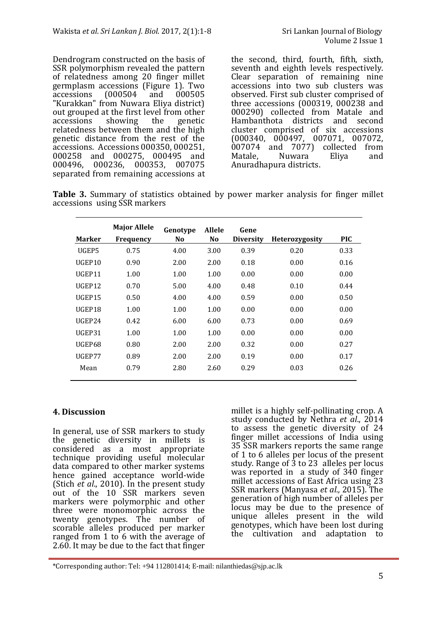Dendrogram constructed on the basis of SSR polymorphism revealed the pattern of relatedness among 20 finger millet germplasm accessions (Figure 1). Two accessions (000504 and 000505 "Kurakkan" from Nuwara Eliya district) out grouped at the first level from other accessions showing the genetic relatedness between them and the high genetic distance from the rest of the accessions. Accessions 000350, 000251, 000258 and 000275, 000495 and 000496, 000236, 000353, 007075 separated from remaining accessions at the second, third, fourth, fifth, sixth, seventh and eighth levels respectively. Clear separation of remaining nine accessions into two sub clusters was observed. First sub cluster comprised of three accessions (000319, 000238 and 000290) collected from Matale and Hambanthota districts and second cluster comprised of six accessions (000340, 000497, 007071, 007072, 007074 and 7077) collected from<br>Matale, Nuwara Eliya and Nuwara Eliya and Anuradhapura districts.

|  | Table 3. Summary of statistics obtained by power marker analysis for finger millet |  |  |  |  |
|--|------------------------------------------------------------------------------------|--|--|--|--|
|  | accessions using SSR markers                                                       |  |  |  |  |

|               | <b>Major Allele</b> | Genotype | <b>Allele</b>  | Gene             |                |            |
|---------------|---------------------|----------|----------------|------------------|----------------|------------|
| <b>Marker</b> | <b>Frequency</b>    | No.      | N <sub>0</sub> | <b>Diversity</b> | Heterozygosity | <b>PIC</b> |
| UGEP5         | 0.75                | 4.00     | 3.00           | 0.39             | 0.20           | 0.33       |
| UGEP10        | 0.90                | 2.00     | 2.00           | 0.18             | 0.00           | 0.16       |
| UGEP11        | 1.00                | 1.00     | 1.00           | 0.00             | 0.00           | 0.00       |
| UGEP12        | 0.70                | 5.00     | 4.00           | 0.48             | 0.10           | 0.44       |
| UGEP15        | 0.50                | 4.00     | 4.00           | 0.59             | 0.00           | 0.50       |
| UGEP18        | 1.00                | 1.00     | 1.00           | 0.00             | 0.00           | 0.00       |
| UGEP24        | 0.42                | 6.00     | 6.00           | 0.73             | 0.00           | 0.69       |
| UGEP31        | 1.00                | 1.00     | 1.00           | 0.00             | 0.00           | 0.00       |
| UGEP68        | 0.80                | 2.00     | 2.00           | 0.32             | 0.00           | 0.27       |
| UGEP77        | 0.89                | 2.00     | 2.00           | 0.19             | 0.00           | 0.17       |
| Mean          | 0.79                | 2.80     | 2.60           | 0.29             | 0.03           | 0.26       |

## **4. Discussion**

l

In general, use of SSR markers to study the genetic diversity in millets is considered as a most appropriate technique providing useful molecular data compared to other marker systems hence gained acceptance world-wide (Stich *et al*., 2010). In the present study out of the 10<sup>SSR</sup> markers seven markers were polymorphic and other three were monomorphic across the twenty genotypes. The number of scorable alleles produced per marker ranged from 1 to 6 with the average of 2.60. It may be due to the fact that finger

millet is a highly self-pollinating crop. A study conducted by Nethra *et al*., 2014 to assess the genetic diversity of 24 finger millet accessions of India using 35 SSR markers reports the same range of 1 to 6 alleles per locus of the present study. Range of  $\overline{3}$  to 23 alleles per locus was reported in a study of 340 finger millet accessions of East Africa using 23 SSR markers (Manyasa *et al.,* 2015). The generation of high number of alleles per locus may be due to the presence of unique alleles present in the wild genotypes, which have been lost during the cultivation and adaptation to

<sup>\*</sup>Corresponding author: Tel: +94 112801414; E-mail: nilanthiedas@sjp.ac.lk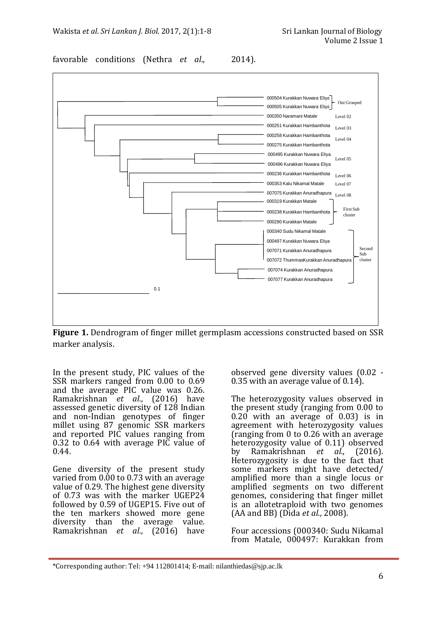favorable conditions (Nethra *et al*., 2014).



**Figure 1.** Dendrogram of finger millet germplasm accessions constructed based on SSR marker analysis.

In the present study, PIC values of the SSR markers ranged from 0.00 to 0.69 and the average PIC value was 0.26. Ramakrishnan *et al.*, (2016) have assessed genetic diversity of 128 Indian and non-Indian genotypes of finger millet using 87 genomic SSR markers and reported PIC values ranging from 0.32 to 0.64 with average PIC value of 0.44.

Gene diversity of the present study varied from 0.00 to 0.73 with an average value of 0.29. The highest gene diversity of 0.73 was with the marker UGEP24 followed by 0.59 of UGEP15. Five out of the ten markers showed more gene diversity than the average value. Ramakrishnan *et al.*, (2016) have

l

observed gene diversity values (0.02 - 0.35 with an average value of  $0.14$ ).

The heterozygosity values observed in the present study (ranging from 0.00 to 0.20 with an average of 0.03) is in agreement with heterozygosity values (ranging from 0 to 0.26 with an average heterozygosity value of 0.11) observed by Ramakrishnan *et al.*, (2016). Heterozygosity is due to the fact that some markers might have detected/ amplified more than a single locus or amplified segments on two different genomes, considering that finger millet is an allotetraploid with two genomes (AA and BB) (Dida *et al*., 2008).

Four accessions (000340: Sudu Nikamal from Matale, 000497: Kurakkan from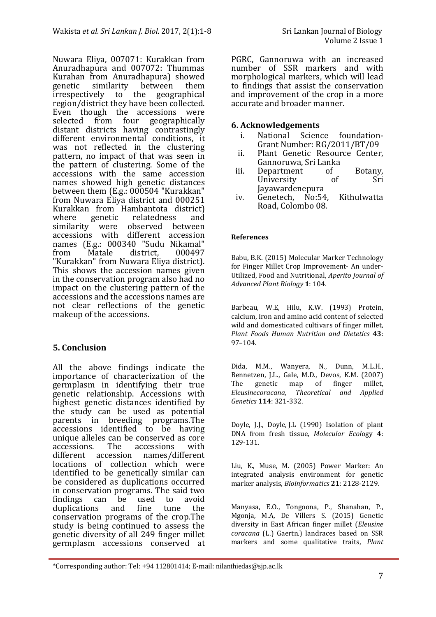Nuwara Eliya, 007071: Kurakkan from Anuradhapura and 007072: Thummas Kurahan from Anuradhapura) showed<br>genetic similarity between them similarity between them irrespectively to the geographical region/district they have been collected. Even though the accessions were selected from four geographically distant districts having contrastingly different environmental conditions, it was not reflected in the clustering pattern, no impact of that was seen in the pattern of clustering. Some of the accessions with the same accession names showed high genetic distances between them (E.g.: 000504 "Kurakkan" from Nuwara Eliya district and 000251 Kurakkan from Hambantota district)<br>where genetic relatedness and relatedness and<br>observed between similarity were accessions with different accession names (E.g.: 000340 "Sudu Nikamal"<br>from Matale district. 000497 district. "Kurakkan" from Nuwara Eliya district). This shows the accession names given in the conservation program also had no impact on the clustering pattern of the accessions and the accessions names are not clear reflections of the genetic makeup of the accessions.

# **5. Conclusion**

l

All the above findings indicate the importance of characterization of the germplasm in identifying their true genetic relationship. Accessions with highest genetic distances identified by the study can be used as potential parents in breeding programs.The accessions identified to be having unique alleles can be conserved as core<br>accessions. The accessions with accessions with different accession names/different locations of collection which were identified to be genetically similar can be considered as duplications occurred in conservation programs. The said two findings can be used to avoid<br>duplications and fine tune the duplications and fine tune the conservation programs of the crop.The study is being continued to assess the genetic diversity of all 249 finger millet germplasm accessions conserved at

PGRC, Gannoruwa with an increased number of SSR markers and with morphological markers, which will lead to findings that assist the conservation and improvement of the crop in a more accurate and broader manner.

## **6. Acknowledgements**

- i. National Science foundation-Grant Number: RG/2011/BT/09
- ii. Plant Genetic Resource Center, Gannoruwa, Sri Lanka
- iii. Department of Botany,<br>University of Sri University Jayawardenepura
- iv. Genetech, No:54, Kithulwatta Road, Colombo 08.

#### **References**

Babu, B.K. (2015) Molecular Marker Technology for Finger Millet Crop Improvement- An under-Utilized, Food and Nutritional, *Aperito Journal of Advanced Plant Biology* **1**: 104.

Barbeau, W.E, Hilu, K.W. (1993) Protein, calcium, iron and amino acid content of selected wild and domesticated cultivars of finger millet, *Plant Foods Human Nutrition and Dietetics* **43**: 97–104.

Dida, M.M., Wanyera, N., Dunn, M.L.H., Bennetzen, J.L., Gale, M.D., Devos, K.M. (2007)<br>The genetic map of finger millet, The genetic map of finger millet, *Eleusinecoracana, Theoretical and Applied Genetics* **114**: 321-332.

Doyle, J.J., Doyle, J.L (1990) Isolation of plant DNA from fresh tissue, *Molecular Ecol*ogy **4**: 129-131.

Liu, K., Muse, M. (2005) Power Marker: An integrated analysis environment for genetic marker analysis, *Bioinformatics* **21**: 2128-2129.

Manyasa, E.O., Tongoona, P., Shanahan, P., Mgonja, M.A, De Villers S. (2015) Genetic diversity in East African finger millet (*Eleusine coracana* (L.) Gaertn.) landraces based on SSR markers and some qualitative traits, *Plant* 

<sup>\*</sup>Corresponding author: Tel: +94 112801414; E-mail: nilanthiedas@sjp.ac.lk